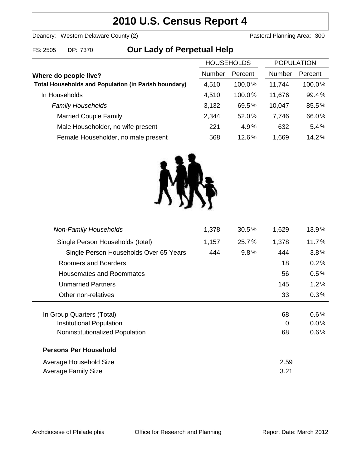# **2010 U.S. Census Report 4**

Deanery: Western Delaware County (2) Deanery: Western Delaware County (2)

### FS: 2505 DP: 7370 **Our Lady of Perpetual Help**

|                                                             | <b>HOUSEHOLDS</b> |         | <b>POPULATION</b> |         |
|-------------------------------------------------------------|-------------------|---------|-------------------|---------|
| Where do people live?                                       | Number            | Percent | Number            | Percent |
| <b>Total Households and Population (in Parish boundary)</b> | 4,510             | 100.0%  | 11,744            | 100.0%  |
| In Households                                               | 4,510             | 100.0%  | 11,676            | 99.4%   |
| <b>Family Households</b>                                    | 3,132             | 69.5%   | 10,047            | 85.5%   |
| <b>Married Couple Family</b>                                | 2,344             | 52.0%   | 7,746             | 66.0%   |
| Male Householder, no wife present                           | 221               | 4.9%    | 632               | 5.4%    |
| Female Householder, no male present                         | 568               | 12.6%   | 1,669             | 14.2%   |



| <b>Non-Family Households</b>           | 1,378 | 30.5% | 1,629 | 13.9%   |
|----------------------------------------|-------|-------|-------|---------|
| Single Person Households (total)       | 1,157 | 25.7% | 1,378 | 11.7%   |
| Single Person Households Over 65 Years | 444   | 9.8%  | 444   | 3.8%    |
| Roomers and Boarders                   |       |       | 18    | 0.2%    |
| Housemates and Roommates               |       |       | 56    | $0.5\%$ |
| <b>Unmarried Partners</b>              |       |       | 145   | $1.2\%$ |
| Other non-relatives                    |       |       | 33    | $0.3\%$ |
|                                        |       |       |       |         |
| In Group Quarters (Total)              |       |       | 68    | $0.6\%$ |
| Institutional Population               |       |       | 0     | $0.0\%$ |
| Noninstitutionalized Population        |       |       | 68    | $0.6\%$ |
| <b>Persons Per Household</b>           |       |       |       |         |
| Average Household Size                 |       |       | 2.59  |         |
| Average Family Size                    |       |       | 3.21  |         |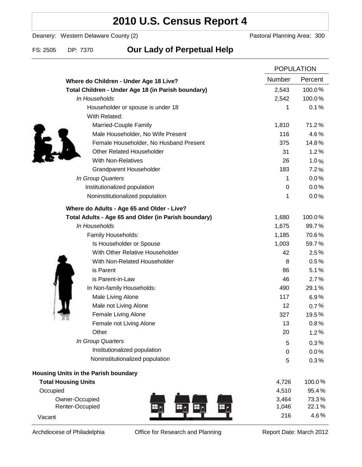## **2010 U.S. Census Report 4**

Deanery: Western Delaware County (2) Deanery: Western Delaware County (2)

### FS: 2505 DP: 7370 **Our Lady of Perpetual Help**

|                                                      |        | <b>POPULATION</b> |  |
|------------------------------------------------------|--------|-------------------|--|
| Where do Children - Under Age 18 Live?               | Number | Percent           |  |
| Total Children - Under Age 18 (in Parish boundary)   | 2,543  | 100.0%            |  |
| In Households                                        | 2,542  | 100.0%            |  |
| Householder or spouse is under 18                    | 1      | 0.1%              |  |
| With Related:                                        |        |                   |  |
| Married-Couple Family                                | 1,810  | 71.2%             |  |
| Male Householder, No Wife Present                    | 116    | 4.6%              |  |
| Female Householder, No Husband Present               | 375    | 14.8%             |  |
| <b>Other Related Householder</b>                     | 31     | 1.2%              |  |
| <b>With Non-Relatives</b>                            | 26     | 1.0%              |  |
| <b>Grandparent Householder</b>                       | 183    | 7.2%              |  |
| In Group Quarters                                    | 1      | 0.0%              |  |
| Institutionalized population                         | 0      | 0.0%              |  |
| Noninstitutionalized population                      | 1      | 0.0%              |  |
| Where do Adults - Age 65 and Older - Live?           |        |                   |  |
| Total Adults - Age 65 and Older (in Parish boundary) | 1,680  | 100.0%            |  |
| In Households                                        | 1,675  | 99.7%             |  |
| Family Households:                                   | 1,185  | 70.6%             |  |
| Is Householder or Spouse                             | 1,003  | 59.7%             |  |
| With Other Relative Householder                      | 42     | 2.5%              |  |
| With Non-Related Householder                         | 8      | 0.5%              |  |
| is Parent                                            | 86     | 5.1%              |  |
| is Parent-in-Law                                     | 46     | 2.7%              |  |
| In Non-family Households:                            | 490    | 29.1%             |  |
| Male Living Alone                                    | 117    | 6.9%              |  |
| Male not Living Alone                                | 12     | 0.7%              |  |
| Female Living Alone                                  | 327    | 19.5%             |  |
| Female not Living Alone                              | 13     | 0.8%              |  |
| Other                                                | 20     | 1.2%              |  |
| In Group Quarters                                    | 5      | 0.3%              |  |
| Institutionalized population                         | 0      | 0.0%              |  |
| Noninstitutionalized population                      | 5      | 0.3%              |  |
| Housing Units in the Parish boundary                 |        |                   |  |
| <b>Total Housing Units</b>                           | 4,726  | 100.0%            |  |
| Occupied                                             | 4,510  | 95.4%             |  |
| Owner-Occupied                                       | 3,464  | 73.3%             |  |
| Renter-Occupied                                      | 1,046  | 22.1%             |  |
| Vacant                                               | 216    | 4.6%              |  |

Archdiocese of Philadelphia **Office for Research and Planning** Report Date: March 2012